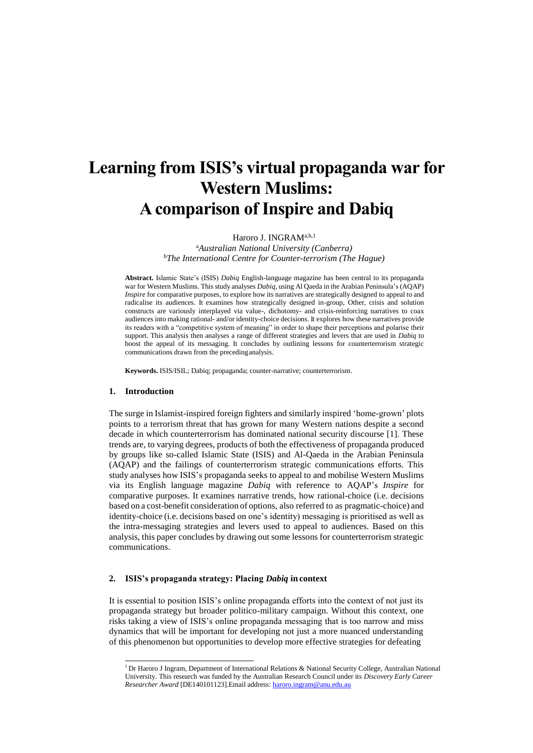# **Learning from ISIS's virtual propaganda war for Western Muslims: A comparison of Inspire and Dabiq**

Haroro J. INGRAM<sup>a,b,1</sup>

<sup>a</sup>*Australian National University (Canberra)* <sup>b</sup>*The International Centre for Counter-terrorism (The Hague)*

**Abstract.** Islamic State's (ISIS) *Dabiq* English-language magazine has been central to its propaganda war for Western Muslims. This study analyses *Dabiq*, using Al Qaeda in the Arabian Peninsula's (AQAP) *Inspire* for comparative purposes, to explore how its narratives are strategically designed to appeal to and radicalise its audiences. It examines how strategically designed in-group, Other, crisis and solution constructs are variously interplayed via value-, dichotomy- and crisis-reinforcing narratives to coax audiences into making rational- and/or identity-choice decisions. It explores how these narratives provide its readers with a "competitive system of meaning" in order to shape their perceptions and polarise their support. This analysis then analyses a range of different strategies and levers that are used in *Dabiq* to boost the appeal of its messaging. It concludes by outlining lessons for counterterrorism strategic communications drawn from the precedinganalysis.

**Keywords.** ISIS/ISIL; Dabiq; propaganda; counter-narrative; counterterrorism.

## **1. Introduction**

The surge in Islamist-inspired foreign fighters and similarly inspired 'home-grown' plots points to a terrorism threat that has grown for many Western nations despite a second decade in which counterterrorism has dominated national security discourse [1]. These trends are, to varying degrees, products of both the effectiveness of propaganda produced by groups like so-called Islamic State (ISIS) and Al-Qaeda in the Arabian Peninsula (AQAP) and the failings of counterterrorism strategic communications efforts. This study analyses how ISIS's propaganda seeks to appeal to and mobilise Western Muslims via its English language magazine *Dabiq* with reference to AQAP's *Inspire* for comparative purposes. It examines narrative trends, how rational-choice (i.e. decisions based on a cost-benefit consideration of options, also referred to as pragmatic-choice) and identity-choice (i.e. decisions based on one's identity) messaging is prioritised as well as the intra-messaging strategies and levers used to appeal to audiences. Based on this analysis, this paper concludes by drawing out some lessons for counterterrorism strategic communications.

## **2. ISIS's propaganda strategy: Placing** *Dabiq* **in context**

It is essential to position ISIS's online propaganda efforts into the context of not just its propaganda strategy but broader politico-military campaign. Without this context, one risks taking a view of ISIS's online propaganda messaging that is too narrow and miss dynamics that will be important for developing not just a more nuanced understanding of this phenomenon but opportunities to develop more effective strategies for defeating

<sup>&</sup>lt;sup>1</sup> Dr Haroro J Ingram, Department of International Relations & National Security College, Australian National University. This research was funded by the Australian Research Council under its *Discovery Early Career Researcher Award* [DE140101123].Email address: [haroro.ingram@anu.edu.au](mailto:haroro.ingram@anu.edu.au)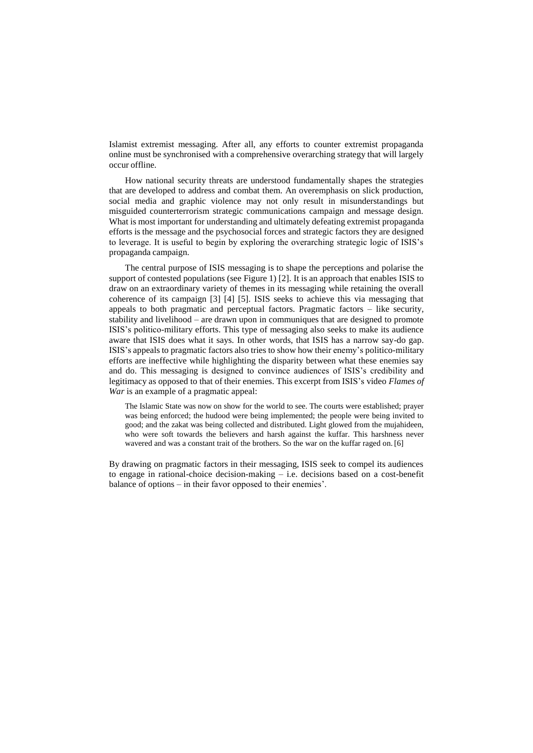Islamist extremist messaging. After all, any efforts to counter extremist propaganda online must be synchronised with a comprehensive overarching strategy that will largely occur offline.

How national security threats are understood fundamentally shapes the strategies that are developed to address and combat them. An overemphasis on slick production, social media and graphic violence may not only result in misunderstandings but misguided counterterrorism strategic communications campaign and message design. What is most important for understanding and ultimately defeating extremist propaganda efforts is the message and the psychosocial forces and strategic factors they are designed to leverage. It is useful to begin by exploring the overarching strategic logic of ISIS's propaganda campaign.

The central purpose of ISIS messaging is to shape the perceptions and polarise the support of contested populations (see Figure 1) [2]. It is an approach that enables ISIS to draw on an extraordinary variety of themes in its messaging while retaining the overall coherence of its campaign [3] [4] [5]. ISIS seeks to achieve this via messaging that appeals to both pragmatic and perceptual factors. Pragmatic factors – like security, stability and livelihood – are drawn upon in communiques that are designed to promote ISIS's politico-military efforts. This type of messaging also seeks to make its audience aware that ISIS does what it says. In other words, that ISIS has a narrow say-do gap. ISIS's appeals to pragmatic factors also tries to show how their enemy's politico-military efforts are ineffective while highlighting the disparity between what these enemies say and do. This messaging is designed to convince audiences of ISIS's credibility and legitimacy as opposed to that of their enemies. This excerpt from ISIS's video *Flames of War* is an example of a pragmatic appeal:

The Islamic State was now on show for the world to see. The courts were established; prayer was being enforced; the hudood were being implemented; the people were being invited to good; and the zakat was being collected and distributed. Light glowed from the mujahideen, who were soft towards the believers and harsh against the kuffar. This harshness never wavered and was a constant trait of the brothers. So the war on the kuffar raged on. [6]

By drawing on pragmatic factors in their messaging, ISIS seek to compel its audiences to engage in rational-choice decision-making – i.e. decisions based on a cost-benefit balance of options – in their favor opposed to their enemies'.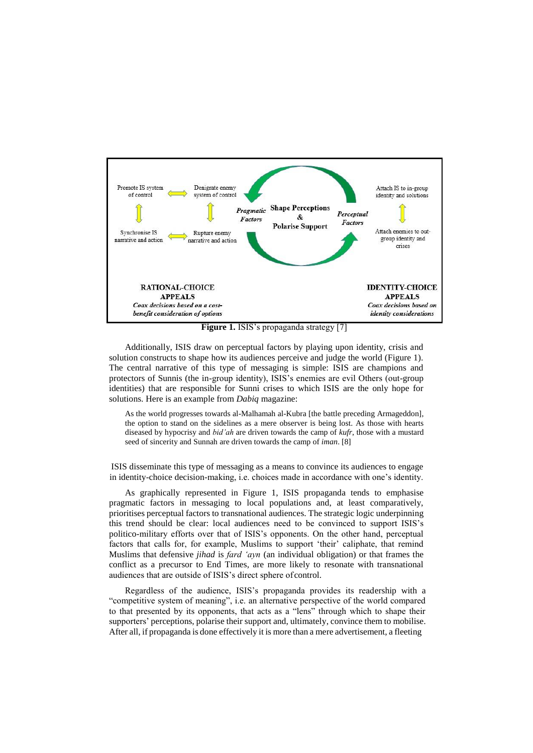

**Figure 1.** ISIS's propaganda strategy [7]

Additionally, ISIS draw on perceptual factors by playing upon identity, crisis and solution constructs to shape how its audiences perceive and judge the world (Figure 1). The central narrative of this type of messaging is simple: ISIS are champions and protectors of Sunnis (the in-group identity), ISIS's enemies are evil Others (out-group identities) that are responsible for Sunni crises to which ISIS are the only hope for solutions. Here is an example from *Dabiq* magazine:

As the world progresses towards al-Malhamah al-Kubra [the battle preceding Armageddon], the option to stand on the sidelines as a mere observer is being lost. As those with hearts diseased by hypocrisy and *bid'ah* are driven towards the camp of *kufr*, those with a mustard seed of sincerity and Sunnah are driven towards the camp of *iman*. [8]

ISIS disseminate this type of messaging as a means to convince its audiences to engage in identity-choice decision-making, i.e. choices made in accordance with one's identity.

As graphically represented in Figure 1, ISIS propaganda tends to emphasise pragmatic factors in messaging to local populations and, at least comparatively, prioritises perceptual factors to transnational audiences. The strategic logic underpinning this trend should be clear: local audiences need to be convinced to support ISIS's politico-military efforts over that of ISIS's opponents. On the other hand, perceptual factors that calls for, for example, Muslims to support 'their' caliphate, that remind Muslims that defensive *jihad* is *fard 'ayn* (an individual obligation) or that frames the conflict as a precursor to End Times, are more likely to resonate with transnational audiences that are outside of ISIS's direct sphere of control.

Regardless of the audience, ISIS's propaganda provides its readership with a "competitive system of meaning", i.e. an alternative perspective of the world compared to that presented by its opponents, that acts as a "lens" through which to shape their supporters' perceptions, polarise their support and, ultimately, convince them to mobilise. After all, if propaganda is done effectively it is more than a mere advertisement, a fleeting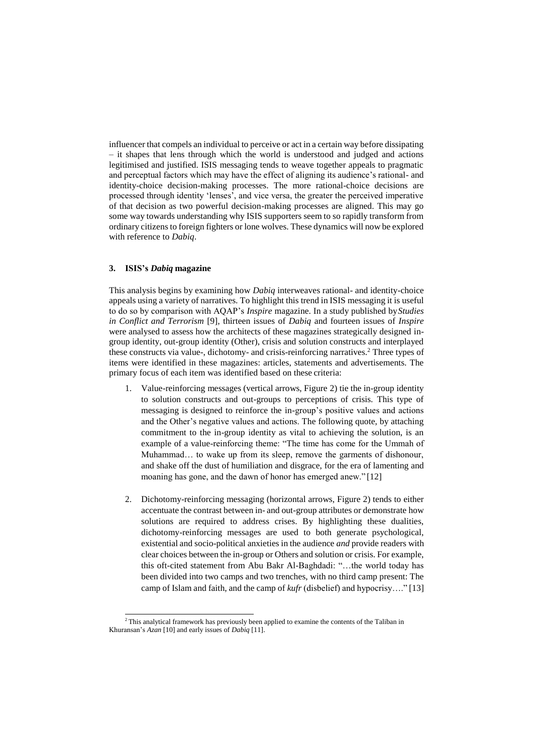influencer that compels an individual to perceive or act in a certain way before dissipating – it shapes that lens through which the world is understood and judged and actions legitimised and justified. ISIS messaging tends to weave together appeals to pragmatic and perceptual factors which may have the effect of aligning its audience's rational- and identity-choice decision-making processes. The more rational-choice decisions are processed through identity 'lenses', and vice versa, the greater the perceived imperative of that decision as two powerful decision-making processes are aligned. This may go some way towards understanding why ISIS supporters seem to so rapidly transform from ordinary citizens to foreign fighters or lone wolves. These dynamics will now be explored with reference to *Dabiq*.

## **3. ISIS's** *Dabiq* **magazine**

This analysis begins by examining how *Dabiq* interweaves rational- and identity-choice appeals using a variety of narratives. To highlight this trend in ISIS messaging it is useful to do so by comparison with AQAP's *Inspire* magazine. In a study published by*Studies in Conflict and Terrorism* [9], thirteen issues of *Dabiq* and fourteen issues of *Inspire*  were analysed to assess how the architects of these magazines strategically designed ingroup identity, out-group identity (Other), crisis and solution constructs and interplayed these constructs via value-, dichotomy- and crisis-reinforcing narratives.<sup>2</sup> Three types of items were identified in these magazines: articles, statements and advertisements. The primary focus of each item was identified based on these criteria:

- 1. Value-reinforcing messages (vertical arrows, Figure 2) tie the in-group identity to solution constructs and out-groups to perceptions of crisis. This type of messaging is designed to reinforce the in-group's positive values and actions and the Other's negative values and actions. The following quote, by attaching commitment to the in-group identity as vital to achieving the solution, is an example of a value-reinforcing theme: "The time has come for the Ummah of Muhammad… to wake up from its sleep, remove the garments of dishonour, and shake off the dust of humiliation and disgrace, for the era of lamenting and moaning has gone, and the dawn of honor has emerged anew." [12]
- 2. Dichotomy-reinforcing messaging (horizontal arrows, Figure 2) tends to either accentuate the contrast between in- and out-group attributes or demonstrate how solutions are required to address crises. By highlighting these dualities, dichotomy-reinforcing messages are used to both generate psychological, existential and socio-political anxieties in the audience *and* provide readers with clear choices between the in-group or Others and solution or crisis. For example, this oft-cited statement from Abu Bakr Al-Baghdadi: "…the world today has been divided into two camps and two trenches, with no third camp present: The camp of Islam and faith, and the camp of *kufr* (disbelief) and hypocrisy…." [13]

<sup>&</sup>lt;sup>2</sup>This analytical framework has previously been applied to examine the contents of the Taliban in Khuransan's *Azan* [10] and early issues of *Dabiq* [11].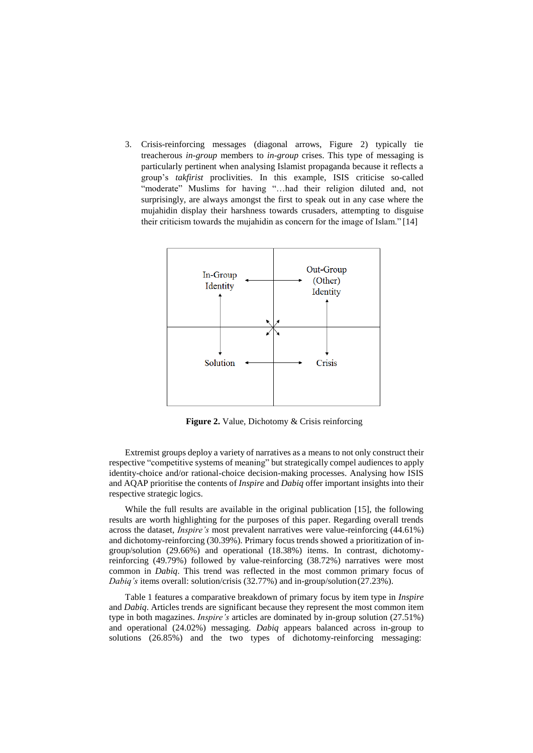3. Crisis-reinforcing messages (diagonal arrows, Figure 2) typically tie treacherous *in-group* members to *in-group* crises. This type of messaging is particularly pertinent when analysing Islamist propaganda because it reflects a group's *takfirist* proclivities. In this example, ISIS criticise so-called "moderate" Muslims for having "...had their religion diluted and, not surprisingly, are always amongst the first to speak out in any case where the mujahidin display their harshness towards crusaders, attempting to disguise their criticism towards the mujahidin as concern for the image of Islam." [14]



**Figure 2.** Value, Dichotomy & Crisis reinforcing

Extremist groups deploy a variety of narratives as a means to not only construct their respective "competitive systems of meaning" but strategically compel audiences to apply identity-choice and/or rational-choice decision-making processes. Analysing how ISIS and AQAP prioritise the contents of *Inspire* and *Dabiq* offer important insights into their respective strategic logics.

While the full results are available in the original publication [15], the following results are worth highlighting for the purposes of this paper. Regarding overall trends across the dataset, *Inspire's* most prevalent narratives were value-reinforcing (44.61%) and dichotomy-reinforcing (30.39%). Primary focus trends showed a prioritization of ingroup/solution (29.66%) and operational (18.38%) items. In contrast, dichotomyreinforcing (49.79%) followed by value-reinforcing (38.72%) narratives were most common in *Dabiq*. This trend was reflected in the most common primary focus of *Dabiq's* items overall: solution/crisis (32.77%) and in-group/solution(27.23%).

Table 1 features a comparative breakdown of primary focus by item type in *Inspire*  and *Dabiq*. Articles trends are significant because they represent the most common item type in both magazines. *Inspire's* articles are dominated by in-group solution (27.51%) and operational (24.02%) messaging. *Dabiq* appears balanced across in-group to solutions (26.85%) and the two types of dichotomy-reinforcing messaging: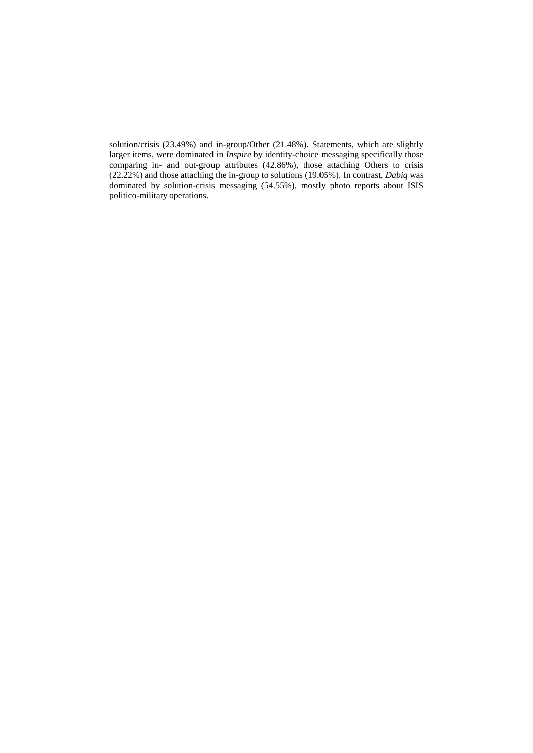solution/crisis (23.49%) and in-group/Other (21.48%). Statements, which are slightly larger items, were dominated in *Inspire* by identity-choice messaging specifically those comparing in- and out-group attributes (42.86%), those attaching Others to crisis (22.22%) and those attaching the in-group to solutions (19.05%). In contrast, *Dabiq* was dominated by solution-crisis messaging (54.55%), mostly photo reports about ISIS politico-military operations.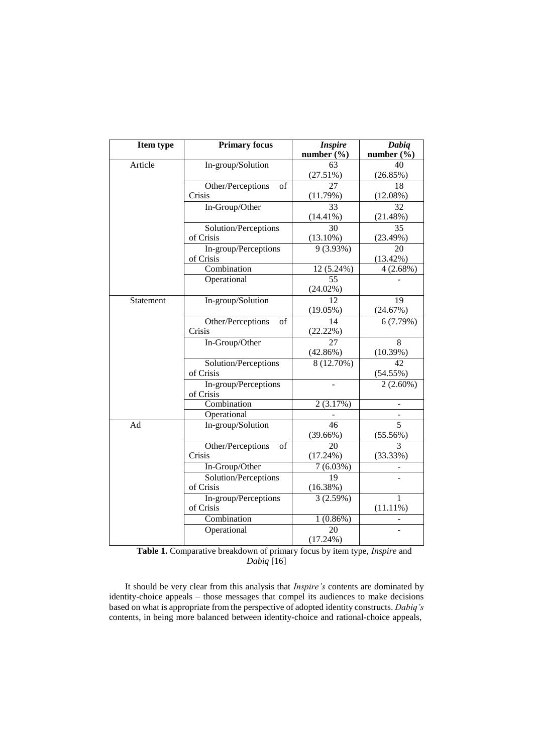| <b>Item type</b> | <b>Primary focus</b>                  | <b>Inspire</b><br>number $(\% )$ | Dabiq<br>number $(\% )$     |
|------------------|---------------------------------------|----------------------------------|-----------------------------|
| Article          | In-group/Solution                     | 63                               | 40                          |
|                  |                                       | (27.51%)                         | (26.85%)                    |
|                  | Other/Perceptions<br>of               | 27                               | 18                          |
|                  | Crisis                                | (11.79%)                         | (12.08%)                    |
|                  | In-Group/Other                        | 33                               | 32                          |
|                  |                                       | $(14.41\%)$                      | (21.48%)                    |
|                  | Solution/Perceptions                  | 30                               | $\overline{35}$             |
|                  | of Crisis                             | $(13.10\%)$                      | (23.49%)                    |
|                  | In-group/Perceptions                  | 9(3.93%)                         | 20                          |
|                  | of Crisis                             |                                  | $(13.42\%)$                 |
|                  | Combination                           | 12 (5.24%)                       | 4(2.68%)                    |
|                  | Operational                           | 55<br>$(24.02\%)$                |                             |
| Statement        | In-group/Solution                     | 12                               | 19                          |
|                  |                                       | $(19.05\%)$                      | (24.67%)                    |
|                  | Other/Perceptions<br>$_{\mathrm{of}}$ | 14                               | 6(7.79%)                    |
|                  | Crisis                                | (22.22%)                         |                             |
|                  | In-Group/Other                        | 27                               | 8                           |
|                  |                                       | (42.86%)                         | (10.39%)                    |
|                  | Solution/Perceptions                  | 8 (12.70%)                       | 42                          |
|                  | of Crisis                             |                                  | (54.55%)                    |
|                  | In-group/Perceptions<br>of Crisis     |                                  | $2(2.60\%)$                 |
|                  | Combination                           | 2(3.17%)                         |                             |
|                  | Operational                           |                                  |                             |
| Ad               | In-group/Solution                     | 46                               | $\overline{5}$              |
|                  |                                       | $(39.66\%)$                      | (55.56%)                    |
|                  | Other/Perceptions<br>of               | 20                               | 3                           |
|                  | Crisis                                | (17.24%)                         | (33.33%)                    |
|                  | In-Group/Other                        | 7(6.03%)                         |                             |
|                  | Solution/Perceptions                  | 19                               |                             |
|                  | of Crisis                             | (16.38%)                         |                             |
|                  | In-group/Perceptions<br>of Crisis     | 3(2.59%)                         | $\mathbf{1}$<br>$(11.11\%)$ |
|                  | Combination                           | 1(0.86%)                         |                             |
|                  | Operational                           | 20                               |                             |
|                  |                                       | $(17.24\%)$                      |                             |

**Table 1.** Comparative breakdown of primary focus by item type, *Inspire* and *Dabiq* [16]

It should be very clear from this analysis that *Inspire's* contents are dominated by identity-choice appeals – those messages that compel its audiences to make decisions based on what is appropriate from the perspective of adopted identity constructs. *Dabiq's*  contents, in being more balanced between identity-choice and rational-choice appeals,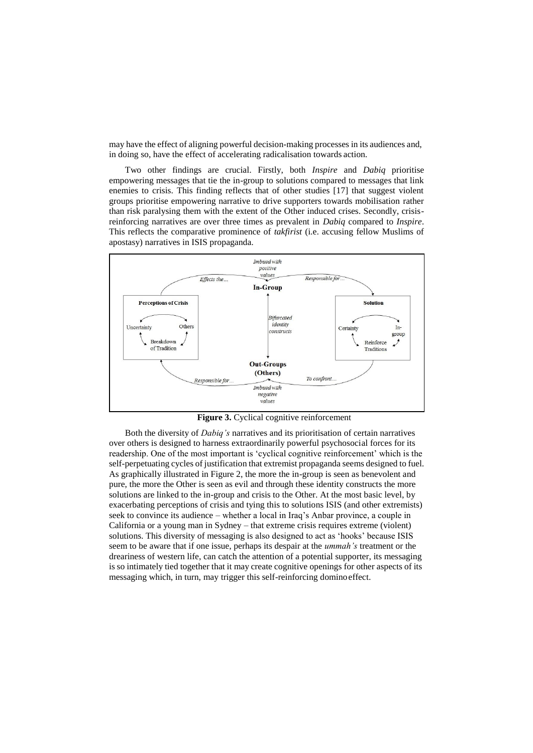may have the effect of aligning powerful decision-making processes in its audiences and, in doing so, have the effect of accelerating radicalisation towards action.

Two other findings are crucial. Firstly, both *Inspire* and *Dabiq* prioritise empowering messages that tie the in-group to solutions compared to messages that link enemies to crisis. This finding reflects that of other studies [17] that suggest violent groups prioritise empowering narrative to drive supporters towards mobilisation rather than risk paralysing them with the extent of the Other induced crises. Secondly, crisisreinforcing narratives are over three times as prevalent in *Dabiq* compared to *Inspire*. This reflects the comparative prominence of *takfirist* (i.e. accusing fellow Muslims of apostasy) narratives in ISIS propaganda.



Figure 3. Cyclical cognitive reinforcement

Both the diversity of *Dabiq's* narratives and its prioritisation of certain narratives over others is designed to harness extraordinarily powerful psychosocial forces for its readership. One of the most important is 'cyclical cognitive reinforcement' which is the self-perpetuating cycles of justification that extremist propaganda seems designed to fuel. As graphically illustrated in Figure 2, the more the in-group is seen as benevolent and pure, the more the Other is seen as evil and through these identity constructs the more solutions are linked to the in-group and crisis to the Other. At the most basic level, by exacerbating perceptions of crisis and tying this to solutions ISIS (and other extremists) seek to convince its audience – whether a local in Iraq's Anbar province, a couple in California or a young man in Sydney – that extreme crisis requires extreme (violent) solutions. This diversity of messaging is also designed to act as 'hooks' because ISIS seem to be aware that if one issue, perhaps its despair at the *ummah's* treatment or the dreariness of western life, can catch the attention of a potential supporter, its messaging is so intimately tied together that it may create cognitive openings for other aspects of its messaging which, in turn, may trigger this self-reinforcing dominoeffect.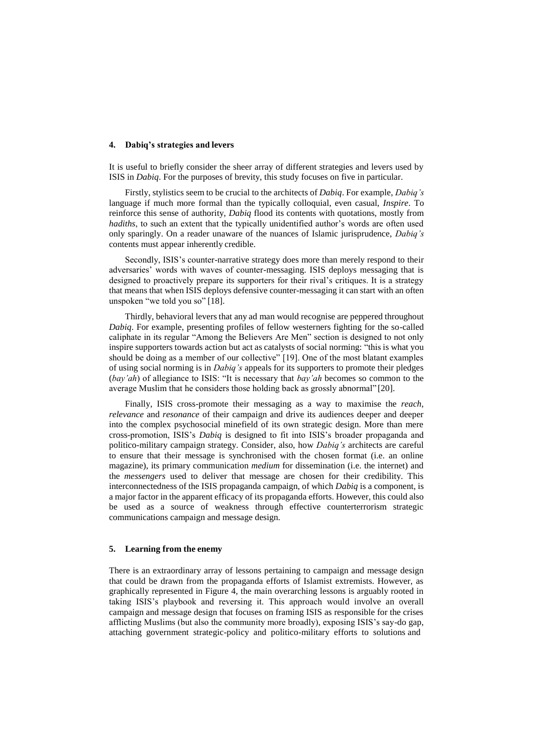#### **4. Dabiq's strategies and levers**

It is useful to briefly consider the sheer array of different strategies and levers used by ISIS in *Dabiq*. For the purposes of brevity, this study focuses on five in particular.

Firstly, stylistics seem to be crucial to the architects of *Dabiq*. For example, *Dabiq's*  language if much more formal than the typically colloquial, even casual, *Inspire*. To reinforce this sense of authority, *Dabiq* flood its contents with quotations, mostly from *hadiths*, to such an extent that the typically unidentified author's words are often used only sparingly. On a reader unaware of the nuances of Islamic jurisprudence, *Dabiq's*  contents must appear inherently credible.

Secondly, ISIS's counter-narrative strategy does more than merely respond to their adversaries' words with waves of counter-messaging. ISIS deploys messaging that is designed to proactively prepare its supporters for their rival's critiques. It is a strategy that means that when ISIS deploys defensive counter-messaging it can start with an often unspoken "we told you so" [18].

Thirdly, behavioral levers that any ad man would recognise are peppered throughout *Dabiq*. For example, presenting profiles of fellow westerners fighting for the so-called caliphate in its regular "Among the Believers Are Men" section is designed to not only inspire supporters towards action but act as catalysts of social norming: "this is what you should be doing as a member of our collective" [19]. One of the most blatant examples of using social norming is in *Dabiq's* appeals for its supporters to promote their pledges (*bay'ah*) of allegiance to ISIS: "It is necessary that *bay'ah* becomes so common to the average Muslim that he considers those holding back as grossly abnormal" [20].

Finally, ISIS cross-promote their messaging as a way to maximise the *reach*, *relevance* and *resonance* of their campaign and drive its audiences deeper and deeper into the complex psychosocial minefield of its own strategic design. More than mere cross-promotion, ISIS's *Dabiq* is designed to fit into ISIS's broader propaganda and politico-military campaign strategy. Consider, also, how *Dabiq's* architects are careful to ensure that their message is synchronised with the chosen format (i.e. an online magazine), its primary communication *medium* for dissemination (i.e. the internet) and the *messengers* used to deliver that message are chosen for their credibility. This interconnectedness of the ISIS propaganda campaign, of which *Dabiq* is a component, is a major factor in the apparent efficacy of its propaganda efforts. However, this could also be used as a source of weakness through effective counterterrorism strategic communications campaign and message design.

## **5. Learning from the enemy**

There is an extraordinary array of lessons pertaining to campaign and message design that could be drawn from the propaganda efforts of Islamist extremists. However, as graphically represented in Figure 4, the main overarching lessons is arguably rooted in taking ISIS's playbook and reversing it. This approach would involve an overall campaign and message design that focuses on framing ISIS as responsible for the crises afflicting Muslims (but also the community more broadly), exposing ISIS's say-do gap, attaching government strategic-policy and politico-military efforts to solutions and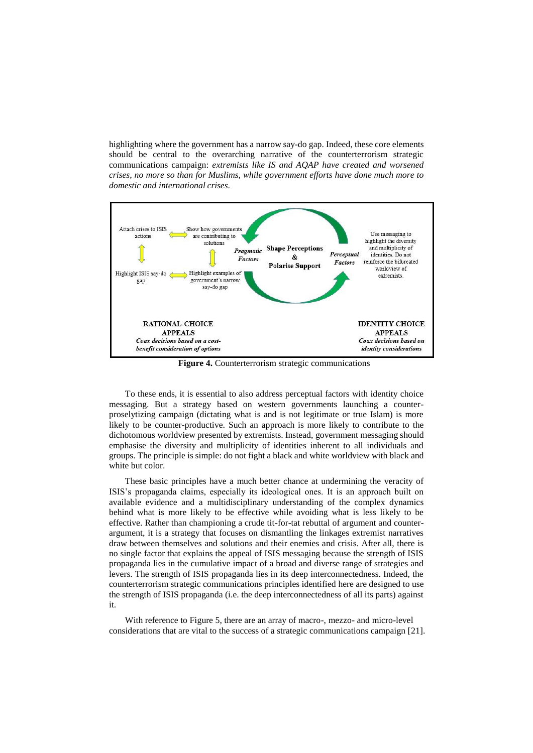highlighting where the government has a narrow say-do gap. Indeed, these core elements should be central to the overarching narrative of the counterterrorism strategic communications campaign: *extremists like IS and AQAP have created and worsened crises, no more so than for Muslims, while government efforts have done much more to domestic and international crises*.



**Figure 4.** Counterterrorism strategic communications

To these ends, it is essential to also address perceptual factors with identity choice messaging. But a strategy based on western governments launching a counterproselytizing campaign (dictating what is and is not legitimate or true Islam) is more likely to be counter-productive. Such an approach is more likely to contribute to the dichotomous worldview presented by extremists. Instead, government messaging should emphasise the diversity and multiplicity of identities inherent to all individuals and groups. The principle is simple: do not fight a black and white worldview with black and white but color.

These basic principles have a much better chance at undermining the veracity of ISIS's propaganda claims, especially its ideological ones. It is an approach built on available evidence and a multidisciplinary understanding of the complex dynamics behind what is more likely to be effective while avoiding what is less likely to be effective. Rather than championing a crude tit-for-tat rebuttal of argument and counterargument, it is a strategy that focuses on dismantling the linkages extremist narratives draw between themselves and solutions and their enemies and crisis. After all, there is no single factor that explains the appeal of ISIS messaging because the strength of ISIS propaganda lies in the cumulative impact of a broad and diverse range of strategies and levers. The strength of ISIS propaganda lies in its deep interconnectedness. Indeed, the counterterrorism strategic communications principles identified here are designed to use the strength of ISIS propaganda (i.e. the deep interconnectedness of all its parts) against it.

With reference to Figure 5, there are an array of macro-, mezzo- and micro-level considerations that are vital to the success of a strategic communications campaign [21].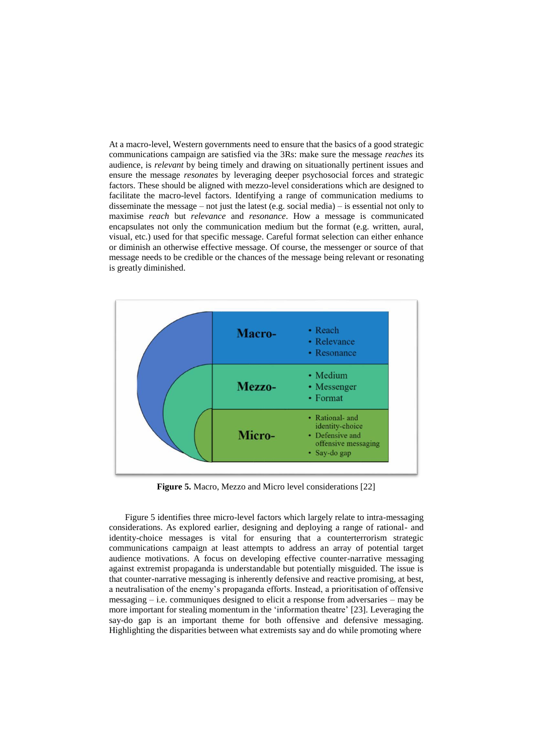At a macro-level, Western governments need to ensure that the basics of a good strategic communications campaign are satisfied via the 3Rs: make sure the message *reaches* its audience, is *relevant* by being timely and drawing on situationally pertinent issues and ensure the message *resonates* by leveraging deeper psychosocial forces and strategic factors. These should be aligned with mezzo-level considerations which are designed to facilitate the macro-level factors. Identifying a range of communication mediums to disseminate the message – not just the latest (e.g. social media) – is essential not only to maximise *reach* but *relevance* and *resonance*. How a message is communicated encapsulates not only the communication medium but the format (e.g. written, aural, visual, etc.) used for that specific message. Careful format selection can either enhance or diminish an otherwise effective message. Of course, the messenger or source of that message needs to be credible or the chances of the message being relevant or resonating is greatly diminished.



**Figure 5.** Macro, Mezzo and Micro level considerations [22]

Figure 5 identifies three micro-level factors which largely relate to intra-messaging considerations. As explored earlier, designing and deploying a range of rational- and identity-choice messages is vital for ensuring that a counterterrorism strategic communications campaign at least attempts to address an array of potential target audience motivations. A focus on developing effective counter-narrative messaging against extremist propaganda is understandable but potentially misguided. The issue is that counter-narrative messaging is inherently defensive and reactive promising, at best, a neutralisation of the enemy's propaganda efforts. Instead, a prioritisation of offensive messaging – i.e. communiques designed to elicit a response from adversaries – may be more important for stealing momentum in the 'information theatre' [23]. Leveraging the say-do gap is an important theme for both offensive and defensive messaging. Highlighting the disparities between what extremists say and do while promoting where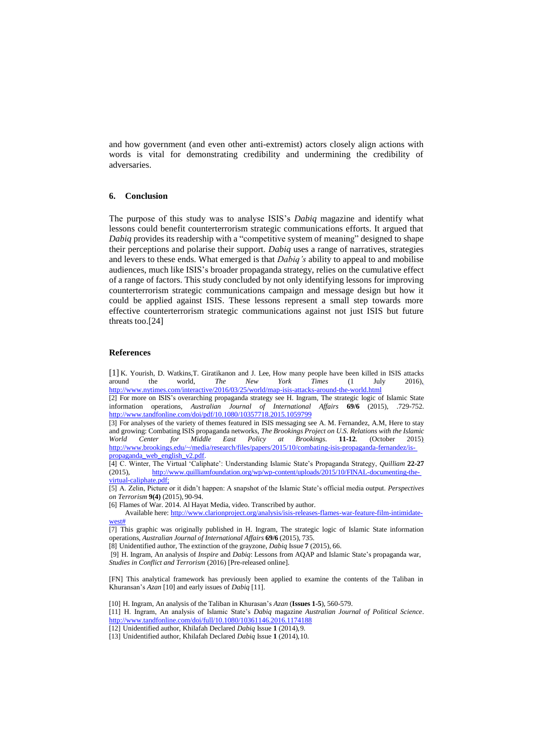and how government (and even other anti-extremist) actors closely align actions with words is vital for demonstrating credibility and undermining the credibility of adversaries.

## **6. Conclusion**

The purpose of this study was to analyse ISIS's *Dabiq* magazine and identify what lessons could benefit counterterrorism strategic communications efforts. It argued that *Dabiq* provides its readership with a "competitive system of meaning" designed to shape their perceptions and polarise their support. *Dabiq* uses a range of narratives, strategies and levers to these ends. What emerged is that *Dabiq's* ability to appeal to and mobilise audiences, much like ISIS's broader propaganda strategy, relies on the cumulative effect of a range of factors. This study concluded by not only identifying lessons for improving counterterrorism strategic communications campaign and message design but how it could be applied against ISIS. These lessons represent a small step towards more effective counterterrorism strategic communications against not just ISIS but future threats too.[24]

#### **References**

[1] K. Yourish, D. Watkins, T. Giratikanon and J. Lee, How many people have been killed in ISIS attacks around the world, *The New York Times* (1 July 2016), around the world, *The New York Times* (1 July 2016[\),](http://www.nytimes.com/interactive/2016/03/25/world/map-isis-attacks-around-the-world.html) <http://www.nytimes.com/interactive/2016/03/25/world/map-isis-attacks-around-the-world.html>

[2] For more on ISIS's overarching propaganda strategy see H. Ingram, The strategic logic of Islamic State information operations, *Australian Journal of International Affairs* **69/6** (2015), .729-75[2.](http://www.tandfonline.com/doi/pdf/10.1080/10357718.2015.1059799) <http://www.tandfonline.com/doi/pdf/10.1080/10357718.2015.1059799>

[3] For analyses of the variety of themes featured in ISIS messaging see A. M. Fernandez, A.M, Here to stay and growing: Combating ISIS propaganda networks, *The Brookings Project on U.S. Relations with the Islamic World Center for Middle East Policy at Brookings. 11-12. (October 2015) World Center for Middle East Policy at Brookings*. 11-12. [http://www.brookings.edu/~/media/research/files/papers/2015/10/combating-isis-propaganda-fernandez/is](http://www.brookings.edu/~/media/research/files/papers/2015/10/combating-isis-propaganda-fernandez/is-propaganda_web_english_v2.pdf)[propaganda\\_web\\_english\\_v2.pdf.](http://www.brookings.edu/~/media/research/files/papers/2015/10/combating-isis-propaganda-fernandez/is-propaganda_web_english_v2.pdf)

[4] C. Winter, The Virtual 'Caliphate': Understanding Islamic State's Propaganda Strategy, *Quilliam* **22-27**  [http://www.quilliamfoundation.org/wp/wp-content/uploads/2015/10/FINAL-documenting-the](http://www.quilliamfoundation.org/wp/wp-content/uploads/2015/10/FINAL-documenting-the-virtual-caliphate.pdf)[virtual-caliphate.pdf;](http://www.quilliamfoundation.org/wp/wp-content/uploads/2015/10/FINAL-documenting-the-virtual-caliphate.pdf)

[5] A. Zelin, Picture or it didn't happen: A snapshot of the Islamic State's official media output. *Perspectives on Terrorism* **9(4)** (2015), 90-94.

[6] Flames of War. 2014. Al Hayat Media, video. Transcribed by author.

Available here: [http://www.clarionproject.org/analysis/isis-releases-flames-war-feature-film-intimidate](http://www.clarionproject.org/analysis/isis-releases-flames-war-feature-film-intimidate-west)[west#](http://www.clarionproject.org/analysis/isis-releases-flames-war-feature-film-intimidate-west)

[7] This graphic was originally published in H. Ingram, The strategic logic of Islamic State information operations, *Australian Journal of International Affairs* **69/6** (2015), 735.

[8] Unidentified author, The extinction of the grayzone, *Dabiq* Issue **7** (2015), 66.

[9] H. Ingram, An analysis of *Inspire* and *Dabiq*: Lessons from AQAP and Islamic State's propaganda war, *Studies in Conflict and Terrorism* (2016) [Pre-released online].

[FN] This analytical framework has previously been applied to examine the contents of the Taliban in Khuransan's *Azan* [10] and early issues of *Dabiq* [11].

[10] H. Ingram, An analysis of the Taliban in Khurasan's *Azan* (**Issues 1-5**), 560-579.

[11] H. Ingram, An analysis of Islamic State's *Dabiq* magazine *Australian Journal of Political Science*[.](http://www.tandfonline.com/doi/full/10.1080/10361146.2016.1174188) <http://www.tandfonline.com/doi/full/10.1080/10361146.2016.1174188>

[12] Unidentified author, Khilafah Declared *Dabiq* Issue **1** (2014),9.

[13] Unidentified author, Khilafah Declared *Dabiq* Issue **1** (2014),10.